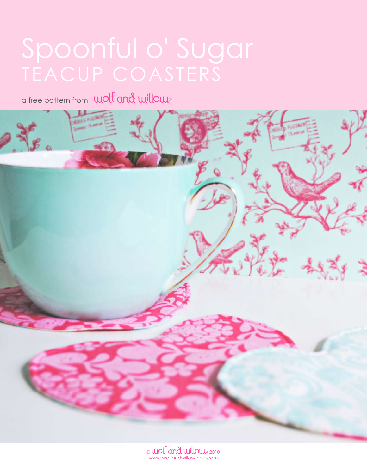a free pattern from unoted and willow

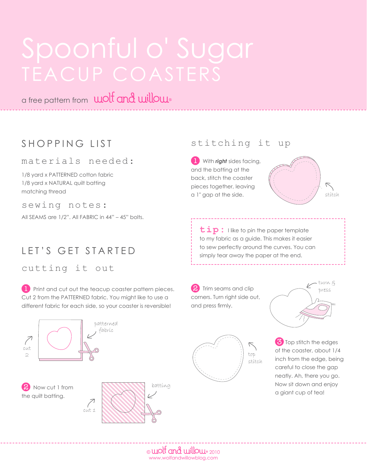a free pattern from **wolf and willow** 

# SHOPPING LIST

### materials needed:

1/8 yard x PATTERNED cotton fabric 1/8 yard x NATURAL quilt batting matching thread

sewing notes:

All SEAMS are 1/2". All FABRIC in 44" - 45" bolts.

## LET'S GET STARTED

cutting it out

**L** Print and cut out the teacup coaster pattern pieces. Cut 2 from the PATTERNED fabric. You might like to use a different fabric for each side, so your coaster is reversible!



## stitching it up

**1** With *right* sides facing, and the batting at the back, stitch the coaster pieces together, leaving a 1" gap at the side.



tip: I like to pin the paper template to my fabric as a guide. This makes it easier to sew perfectly around the curves. You can simply tear away the paper at the end.

**2** Trim seams and clip corners. Turn right side out, and press firmly.





**3** Top stitch the edges of the coaster, about 1/4 inch from the edge, being careful to close the gap neatly. Ah, there you go. Now sit down and enjoy a giant cup of tea!

 $_{\odot}$  wolt and willow  $_{\textrm{\tiny{2010}}}$ www.wolfandwillowblog.com